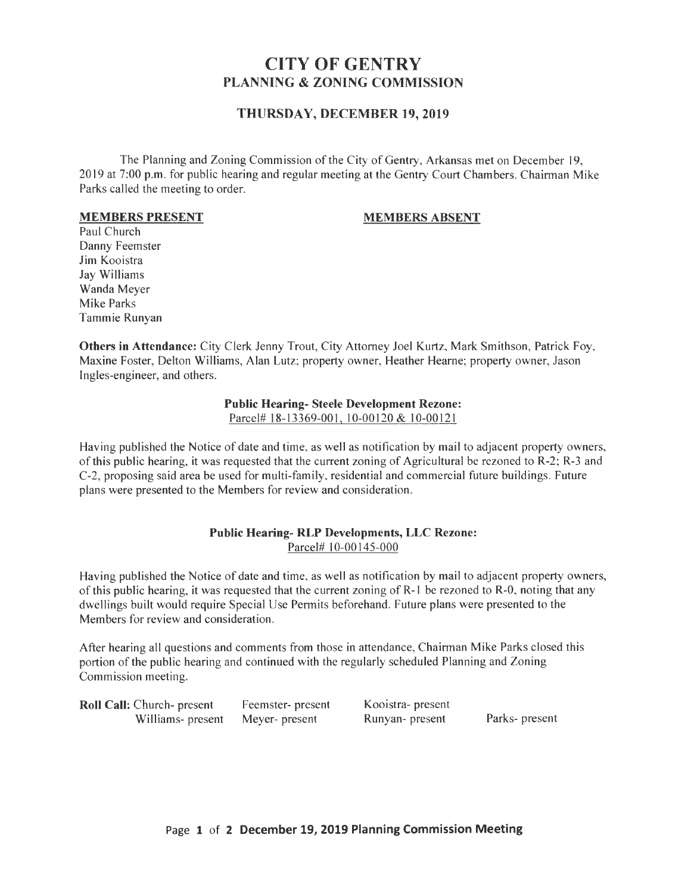# **CITY OF GENTRY PLANNING & ZONING COMMISSION**

# **THURSDAY, DECEMBER 19,2019**

The Planning and Zoning Commission of the City of Gentry, Arkansas met on December 19, 2019 at 7:00 p.m. for public hearing and regular meeting at the Gentry Court Chambers. Chairman Mike Parks called the meeting to order.

#### **MEMBERS PRESENT**

### **MEMBERS ABSENT**

Paul Church Danny Feemster Jim Kooistra Jay Williams Wanda Meyer Mike Parks Tammie Runyan

**Others in Attendance:** City Clerk Jenny Trout, City Attorney Joel Kurtz, Mark Smithson, Patrick Fay, Maxine Foster, Delton Williams, Alan Lutz; property owner, Heather Hearne; property owner, Jason Ingles-engineer, and others.

## **Public Hearing- Steele Development Rezone:**

Parcel# 18-13369-001, 10-00120 & 10-00121

Having published the Notice of date and time, as well as notification by mail to adjacent property owners, of this public hearing, it was requested that the current zoning of Agricultural be rezoned to R-2; R-3 and C-2, proposing said area be used for multi-family, residential and commercial future buildings. Future plans were presented to the Members for review and consideration.

### **Public Hearing- RLP Developments, LLC Rezone:**  Parcel# 10-00145-000

Having published the Notice of date and time, as well as notification by mail to adjacent property owners, of this public hearing, it was requested that the current zoning of R-1 be rezoned to R-0, noting that any dwellings built would require Special Use Permits beforehand. Future plans were presented to the Members for review and consideration.

After hearing all questions and comments from those in attendance, Chairman Mike Parks closed this portion of the public hearing and continued with the regularly scheduled Planning and Zoning Commission meeting.

| Roll Call: Church- present       | Feemster- present | Kooistra-present |                |
|----------------------------------|-------------------|------------------|----------------|
| Williams- present Meyer- present |                   | Runyan- present  | Parks- present |